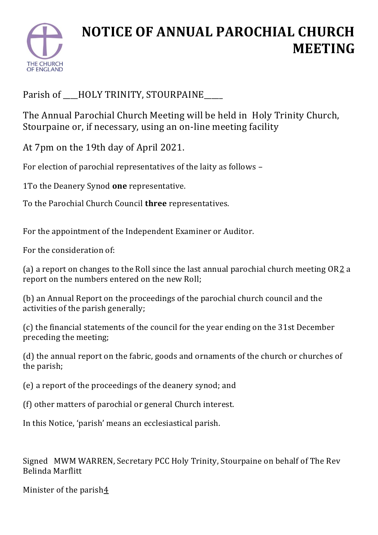

## **NOTICE OF ANNUAL PAROCHIAL CHURCH MEETING**

Parish of \_\_\_HOLY TRINITY, STOURPAINE\_\_\_\_

The Annual Parochial Church Meeting will be held in Holy Trinity Church, Stourpaine or, if necessary, using an on-line meeting facility

At 7pm on the 19th day of April 2021.

For election of parochial representatives of the laity as follows –

1To the Deanery Synod **one** representative.

To the Parochial Church Council **three** representatives.

For the appointment of the Independent Examiner or Auditor.

For the consideration of:

(a) a report on changes to the Roll since the last annual parochial church meeting  $OR2a$  $OR2a$  $OR2a$ report on the numbers entered on the new Roll;

(b) an Annual Report on the proceedings of the parochial church council and the activities of the parish generally;

(c) the financial statements of the council for the year ending on the 31st December preceding the meeting;

(d) the annual report on the fabric, goods and ornaments of the church or churches of the parish;

(e) a report of the proceedings of the deanery synod; and

(f) other matters of parochial or general Church interest.

In this Notice, 'parish' means an ecclesiastical parish.

Signed MWM WARREN, Secretary PCC Holy Trinity, Stourpaine on behalf of The Rev Belinda Marflitt

Minister of the parish $\frac{4}{5}$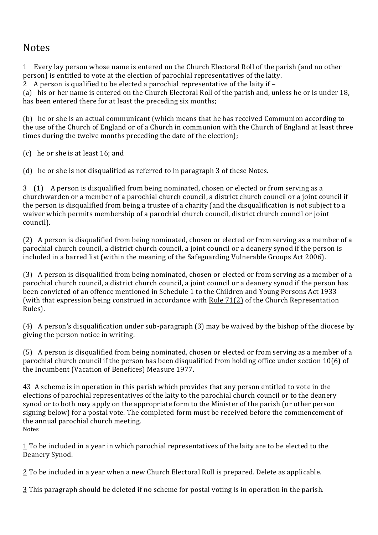## **Notes**

1 Every lay person whose name is entered on the Church Electoral Roll of the parish (and no other person) is entitled to vote at the election of parochial representatives of the laity.

2 A person is qualified to be elected a parochial representative of the laity if –

(a) his or her name is entered on the Church Electoral Roll of the parish and, unless he or is under 18, has been entered there for at least the preceding six months;

(b) he or she is an actual communicant (which means that he has received Communion according to the use of the Church of England or of a Church in communion with the Church of England at least three times during the twelve months preceding the date of the election);

(c) he or she is at least 16; and

(d) he or she is not disqualified as referred to in paragraph 3 of these Notes.

3 (1) A person is disqualified from being nominated, chosen or elected or from serving as a churchwarden or a member of a parochial church council, a district church council or a joint council if the person is disqualified from being a trustee of a charity (and the disqualification is not subject to a waiver which permits membership of a parochial church council, district church council or joint council).

(2) A person is disqualified from being nominated, chosen or elected or from serving as a member of a parochial church council, a district church council, a joint council or a deanery synod if the person is included in a barred list (within the meaning of the Safeguarding Vulnerable Groups Act 2006).

(3) A person is disqualified from being nominated, chosen or elected or from serving as a member of a parochial church council, a district church council, a joint council or a deanery synod if the person has been convicted of an offence mentioned in Schedule 1 to the Children and Young Persons Act 1933 (with that expression being construed in accordance with [Rule 71\(2\)](https://www.churchofengland.org/more/policy-and-thinking/church-representation-rules/part_7_disqualification_etc_rules_62_to_71.xhtml#r71_2) of the Church Representation Rules).

(4) A person's disqualification under sub-paragraph (3) may be waived by the bishop of the diocese by giving the person notice in writing.

(5) A person is disqualified from being nominated, chosen or elected or from serving as a member of a parochial church council if the person has been disqualified from holding office under section 10(6) of the Incumbent (Vacation of Benefices) Measure 1977.

[43](https://www.churchofengland.org/more/policy-and-thinking/church-representation-rules/church-representation-rules-online-part-10#rfns9) A scheme is in operation in this parish which provides that any person entitled to vote in the elections of parochial representatives of the laity to the parochial church council or to the deanery synod or to both may apply on the appropriate form to the Minister of the parish (or other person signing below) for a postal vote. The completed form must be received before the commencement of the annual parochial church meeting. Notes

[1](https://www.churchofengland.org/more/policy-and-thinking/church-representation-rules/church-representation-rules-online-part-10#fns7) To be included in a year in which parochial representatives of the laity are to be elected to the Deanery Synod.

[2](https://www.churchofengland.org/more/policy-and-thinking/church-representation-rules/church-representation-rules-online-part-10#fns8) To be included in a year when a new Church Electoral Roll is prepared. Delete as applicable.

[3](https://www.churchofengland.org/more/policy-and-thinking/church-representation-rules/church-representation-rules-online-part-10#fns9) This paragraph should be deleted if no scheme for postal voting is in operation in the parish.